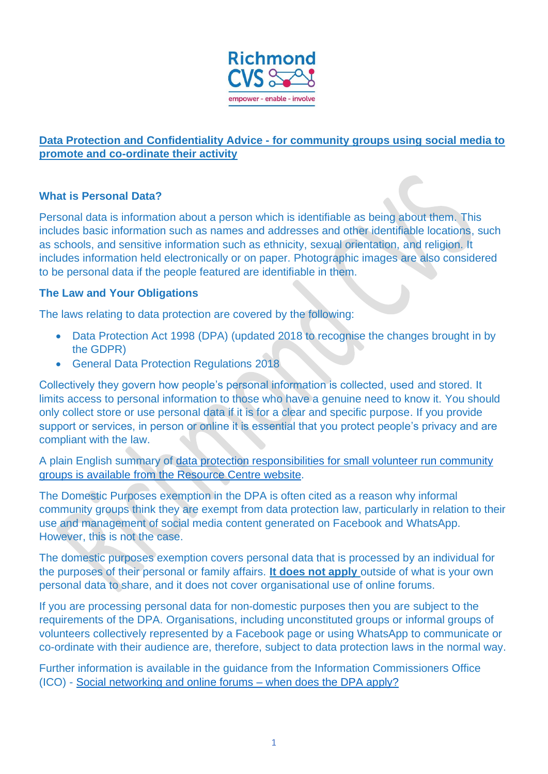

## **Data Protection and Confidentiality Advice - for community groups using social media to promote and co-ordinate their activity**

## **What is Personal Data?**

Personal data is information about a person which is identifiable as being about them. This includes basic information such as names and addresses and other identifiable locations, such as schools, and sensitive information such as ethnicity, sexual orientation, and religion. It includes information held electronically or on paper. Photographic images are also considered to be personal data if the people featured are identifiable in them.

## **The Law and Your Obligations**

The laws relating to data protection are covered by the following:

- Data Protection Act 1998 (DPA) (updated 2018 to recognise the changes brought in by the GDPR)
- General Data Protection Regulations 2018

Collectively they govern how people's personal information is collected, used and stored. It limits access to personal information to those who have a genuine need to know it. You should only collect store or use personal data if it is for a clear and specific purpose. If you provide support or services, in person or online it is essential that you protect people's privacy and are compliant with the law.

A plain English summary of data protection responsibilities for small volunteer run community groups is available from the Resource Centre website.

The Domestic Purposes exemption in the DPA is often cited as a reason why informal community groups think they are exempt from data protection law, particularly in relation to their use and management of social media content generated on Facebook and WhatsApp. However, this is not the case.

The domestic purposes exemption covers personal data that is processed by an individual for the purposes of their personal or family affairs. **It does not apply** outside of what is your own personal data to share, and it does not cover organisational use of online forums.

If you are processing personal data for non-domestic purposes then you are subject to the requirements of the DPA. Organisations, including unconstituted groups or informal groups of volunteers collectively represented by a Facebook page or using WhatsApp to communicate or co-ordinate with their audience are, therefore, subject to data protection laws in the normal way.

Further information is available in the guidance from the Information Commissioners Office (ICO) - Social networking and online forums – when does the DPA apply?